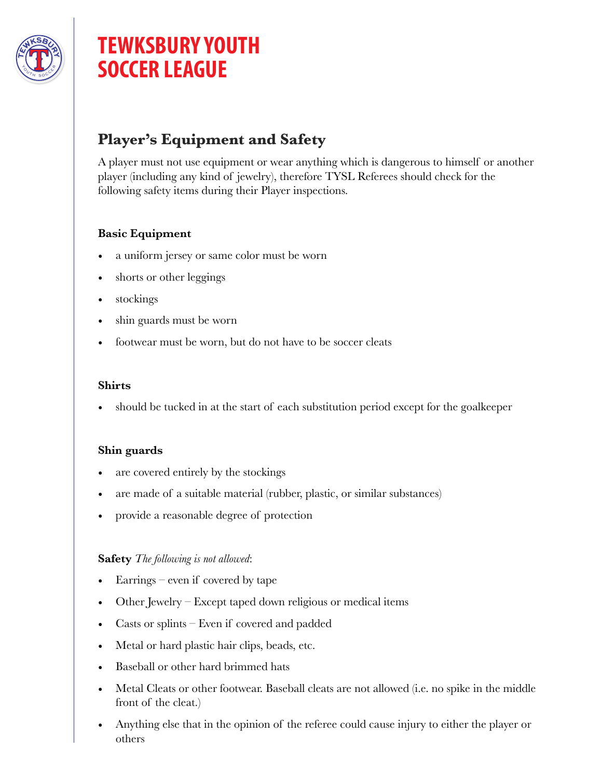

# **TEWKSBURY YOUTH SOCCER LEAGUE**

# **Player's Equipment and Safety**

A player must not use equipment or wear anything which is dangerous to himself or another player (including any kind of jewelry), therefore TYSL Referees should check for the following safety items during their Player inspections.

# **Basic Equipment**

- a uniform jersey or same color must be worn
- shorts or other leggings
- stockings
- shin guards must be worn
- footwear must be worn, but do not have to be soccer cleats

#### **Shirts**

• should be tucked in at the start of each substitution period except for the goalkeeper

#### **Shin guards**

- are covered entirely by the stockings
- are made of a suitable material (rubber, plastic, or similar substances)
- provide a reasonable degree of protection

### **Safety** *The following is not allowed*:

- $\rm{Earrings}$  even if covered by tape
- Other Jewelry Except taped down religious or medical items
- Casts or splints Even if covered and padded
- Metal or hard plastic hair clips, beads, etc.
- Baseball or other hard brimmed hats
- Metal Cleats or other footwear. Baseball cleats are not allowed (i.e. no spike in the middle front of the cleat.)
- Anything else that in the opinion of the referee could cause injury to either the player or others